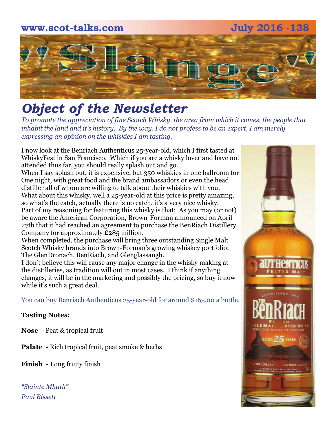# **www.scot-talks.com July 2016 -138** 121

## *Object of the Newsletter*

*To promote the appreciation of fine Scotch Whisky, the area from which it comes, the people that inhabit the land and it's history. By the way, I do not profess to be an expert, I am merely expressing an opinion on the whiskies I am tasting.* 

I now look at the Benriach Authenticus 25-year-old, which I first tasted at WhiskyFest in San Francisco. Which if you are a whisky lover and have not attended thus far, you should really splash out and go.

When I say splash out, it is expensive, but 350 whiskies in one ballroom for One night, with great food and the brand ambassadors or even the head distiller all of whom are willing to talk about their whiskies with you. What about this whisky, well a 25-year-old at this price is pretty amazing, so what's the catch, actually there is no catch, it's a very nice whisky. Part of my reasoning for featuring this whisky is that; As you may (or not) be aware the American Corporation, Brown-Forman announced on April 27th that it had reached an agreement to purchase the BenRiach Distillery Company for approximately £285 million.

When completed, the purchase will bring three outstanding Single Malt Scotch Whisky brands into Brown-Forman's growing whiskey portfolio: The GlenDronach, BenRiach, and Glenglassaugh.

I don't believe this will cause any major change in the whisky making at the distilleries, as tradition will out in most cases. I think if anything changes, it will be in the marketing and possibly the pricing, so buy it now while it's such a great deal.

You can buy Benriach Authenticus 25-year-old for around \$165.00 a bottle.

#### **Tasting Notes;**

**Nose** - Peat & tropical fruit

**Palate** - Rich tropical fruit, peat smoke & herbs

**Finish** - Long fruity finish

*"Slainte Mhath" Paul Bissett*

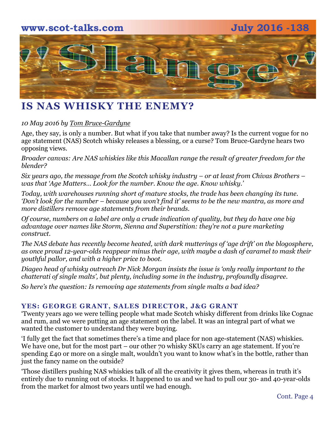# **www.scot-talks.com July 2016 -138** [2]

## **IS NAS WHISKY THE ENEMY?**

#### *10 May 2016 by [Tom Bruce-Gardyne](http://t.sidekickopen52.com/e1t/c/5/f18dQhb0S7lC8dDMPbW2n0x6l2B9nMJW7t5XYg3LjtqTW8qSvNW8rls1WW8q-c7s56dyz8f2gpHtl02?t=https%3A%2F%2Fscotchwhisky.com%2Fmagazine%2Fcontributors%2F%23TomBruceGardyne&si=6609571497377792&pi=e4564bd4-857a-4d0c-9b7d-6e66e844ca39)*

Age, they say, is only a number. But what if you take that number away? Is the current vogue for no age statement (NAS) Scotch whisky releases a blessing, or a curse? Tom Bruce-Gardyne hears two opposing views.

*Broader canvas: Are NAS whiskies like this Macallan range the result of greater freedom for the blender?* 

*Six years ago, the message from the Scotch whisky industry – or at least [from Chivas Brothers](http://t.sidekickopen52.com/e1t/c/5/f18dQhb0S7lC8dDMPbW2n0x6l2B9nMJW7t5XYg3LjtqTW8qSvNW8rls1WW8q-c7s56dyz8f2gpHtl02?t=https%3A%2F%2Fscotchwhisky.com%2Fredirect%2F%3Fr%3Dhttp%253a%252f%252fpernod-ricard.com%252f4892%252fpress%252fnews-press-releases%252fpress-releases%252fthe-age-matters-chivas-brothers-launches-global-consumer-campaign-on-the-importance-of-scotch-whisky-age-statements&si=6609571497377792&pi=e4564bd4-857a-4d0c-9b7d-6e66e844ca39) – was that 'Age Matters… Look for the number. Know the age. Know whisky.'*

*Today, with warehouses running short of mature stocks, the trade has been changing its tune. 'Don't look for the number – because you won't find it' seems to be the new mantra, as more and more distillers remove age statements from their brands.*

*Of course, numbers on a label are only a crude indication of quality, but they do have one big advantage over names like Storm, Sienna and Superstition: they're not a pure marketing construct.*

*The NAS debate has recently become heated, with dark mutterings of 'age drift' on the blogosphere, as once proud 12-year-olds reappear minus their age, with maybe a dash of caramel to mask their youthful pallor, and with a higher price to boot.*

*Diageo head of whisky outreach Dr Nick Morgan insists the issue is 'only really important to the chatterati of single malts', but plenty, including some in the industry, profoundly disagree.*

*So here's the question: Is removing age statements from single malts a bad idea?*

#### **YES: GEORGE GRANT, SALES DIRECTOR, J&G GRANT**

'Twenty years ago we were telling people what made Scotch whisky different from drinks like Cognac and rum, and we were putting an age statement on the label. It was an integral part of what we wanted the customer to understand they were buying.

'I fully get the fact that sometimes there's a time and place for non age-statement (NAS) whiskies. We have one, but for the most part – our other 70 whisky SKUs carry an age statement. If you're spending £40 or more on a single malt, wouldn't you want to know what's in the bottle, rather than just the fancy name on the outside?

'Those distillers pushing NAS whiskies talk of all the creativity it gives them, whereas in truth it's entirely due to running out of stocks. It happened to us and we had to pull our 30- and 40-year-olds from the market for almost two years until we had enough.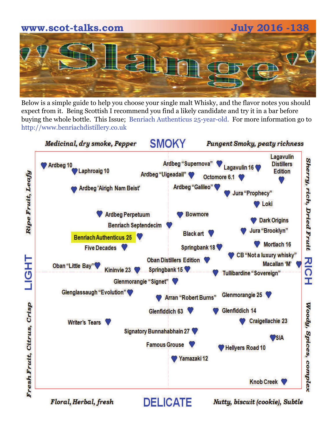

Below is a simple guide to help you choose your single malt Whisky, and the flavor notes you should expect from it. Being Scottish I recommend you find a likely candidate and try it in a bar before buying the whole bottle. This Issue; Benriach Authenticus 25-year-old. For more information go to http://www.benriachdistillery.co.uk



Floral, Herbal, fresh

Nutty, biscuit (cookie), Subtle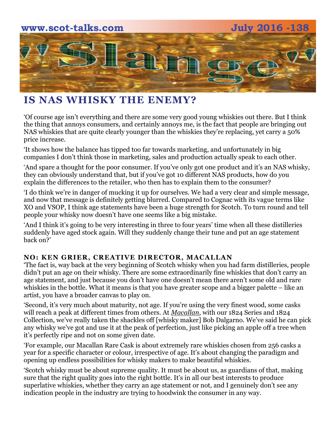

## **IS NAS WHISKY THE ENEMY?**

'Of course age isn't everything and there are some very good young whiskies out there. But I think the thing that annoys consumers, and certainly annoys me, is the fact that people are bringing out NAS whiskies that are quite clearly younger than the whiskies they're replacing, yet carry a 50% price increase.

'It shows how the balance has tipped too far towards marketing, and unfortunately in big companies I don't think those in marketing, sales and production actually speak to each other.

'And spare a thought for the poor consumer. If you've only got one product and it's an NAS whisky, they can obviously understand that, but if you've got 10 different NAS products, how do you explain the differences to the retailer, who then has to explain them to the consumer?

'I do think we're in danger of mucking it up for ourselves. We had a very clear and simple message, and now that message is definitely getting blurred. Compared to Cognac with its vague terms like XO and VSOP, I think age statements have been a huge strength for Scotch. To turn round and tell people your whisky now doesn't have one seems like a big mistake.

'And I think it's going to be very interesting in three to four years' time when all these distilleries suddenly have aged stock again. Will they suddenly change their tune and put an age statement back on?'

#### **NO: KEN GRIER, CREATIVE DIRECTOR, MACALLAN**

'The fact is, way back at the very beginning of Scotch whisky when you had farm distilleries, people didn't put an age on their whisky. There are some extraordinarily fine whiskies that don't carry an age statement, and just because you don't have one doesn't mean there aren't some old and rare whiskies in the bottle. What it means is that you have greater scope and a bigger palette – like an artist, you have a broader canvas to play on.

'Second, it's very much about maturity, not age. If you're using the very finest wood, some casks will reach a peak at different times from others. At *[Macallan](http://t.sidekickopen52.com/e1t/c/5/f18dQhb0S7lC8dDMPbW2n0x6l2B9nMJW7t5XYg3LjtqTW8qSvNW8rls1WW8q-c7s56dyz8f2gpHtl02?t=https%3A%2F%2Fscotchwhisky.com%2Fwhiskypedia%2F1879%2Fmacallan%2F%23%2F&si=6609571497377792&pi=e4564bd4-857a-4d0c-9b7d-6e66e844ca39)*, with our 1824 Series and 1824 Collection, we've really taken the shackles off [whisky maker] Bob Dalgarno. We've said he can pick any whisky we've got and use it at the peak of perfection, just like picking an apple off a tree when it's perfectly ripe and not on some given date.

'For example, our Macallan Rare Cask is about extremely rare whiskies chosen from 256 casks a year for a specific character or colour, irrespective of age. It's about changing the paradigm and opening up endless possibilities for whisky makers to make beautiful whiskies.

'Scotch whisky must be about supreme quality. It must be about us, as guardians of that, making sure that the right quality goes into the right bottle. It's in all our best interests to produce superlative whiskies, whether they carry an age statement or not, and I genuinely don't see any indication people in the industry are trying to hoodwink the consumer in any way.